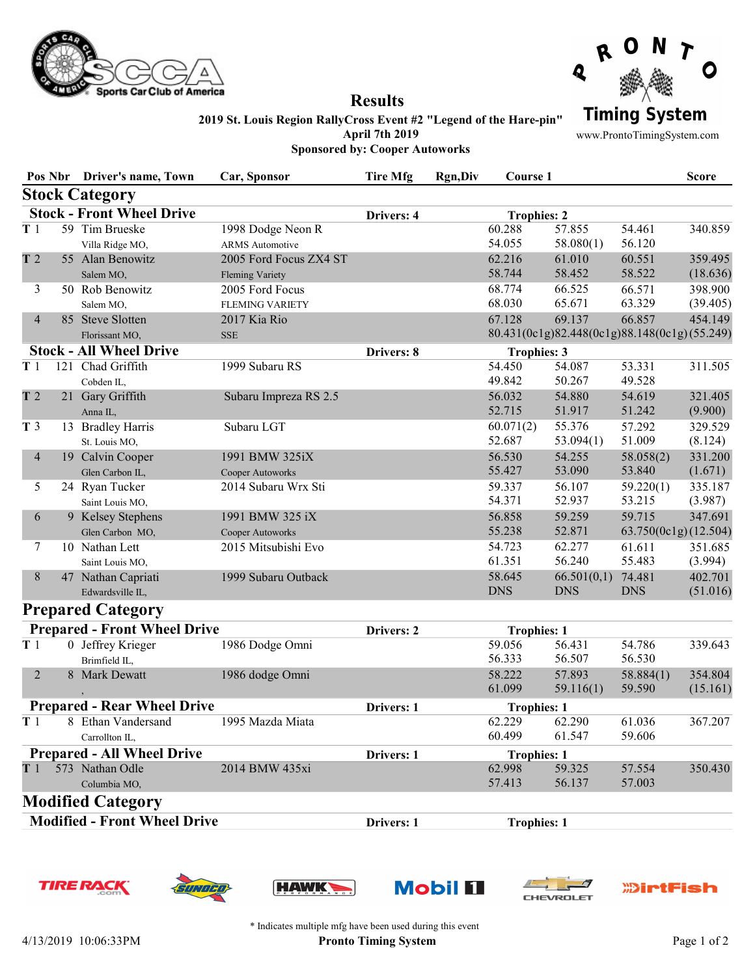



## 2019 St. Louis Region RallyCross Event #2 "Legend of the Hare-pin" April 7th 2019 Sponsored by: Cooper Autoworks

Results

www.ProntoTimingSystem.com

|                                     | Pos Nbr | <b>Driver's name, Town</b> | Car, Sponsor           | <b>Tire Mfg</b> | <b>Rgn,Div</b>     | Course 1           |                                              |                      | <b>Score</b> |
|-------------------------------------|---------|----------------------------|------------------------|-----------------|--------------------|--------------------|----------------------------------------------|----------------------|--------------|
|                                     |         | <b>Stock Category</b>      |                        |                 |                    |                    |                                              |                      |              |
| <b>Stock - Front Wheel Drive</b>    |         |                            |                        | Drivers: 4      |                    | <b>Trophies: 2</b> |                                              |                      |              |
| T <sub>1</sub>                      |         | 59 Tim Brueske             | 1998 Dodge Neon R      |                 |                    | 60.288             | 57.855                                       | 54.461               | 340.859      |
|                                     |         | Villa Ridge MO,            | <b>ARMS</b> Automotive |                 |                    | 54.055             | 58.080(1)                                    | 56.120               |              |
| T <sub>2</sub>                      |         | 55 Alan Benowitz           | 2005 Ford Focus ZX4 ST |                 |                    | 62.216             | 61.010                                       | 60.551               | 359.495      |
|                                     |         | Salem MO,                  | <b>Fleming Variety</b> |                 |                    | 58.744             | 58.452                                       | 58.522               | (18.636)     |
| 3<br>4                              |         | 50 Rob Benowitz            | 2005 Ford Focus        |                 |                    | 68.774             | 66.525                                       | 66.571               | 398.900      |
|                                     |         | Salem MO,                  | <b>FLEMING VARIETY</b> |                 |                    | 68.030             | 65.671                                       | 63.329               | (39.405)     |
|                                     |         | 85 Steve Slotten           | 2017 Kia Rio           |                 |                    | 67.128             | 69.137                                       | 66.857               | 454.149      |
|                                     |         | Florissant MO,             | <b>SSE</b>             |                 |                    |                    | 80.431(0c1g)82.448(0c1g)88.148(0c1g)(55.249) |                      |              |
| <b>Stock - All Wheel Drive</b>      |         |                            | Drivers: 8             |                 | <b>Trophies: 3</b> |                    |                                              |                      |              |
| T <sub>1</sub>                      |         | 121 Chad Griffith          | 1999 Subaru RS         |                 |                    | 54.450             | 54.087                                       | 53.331               | 311.505      |
|                                     |         | Cobden IL,                 |                        |                 |                    | 49.842             | 50.267                                       | 49.528               |              |
| T <sub>2</sub>                      |         | 21 Gary Griffith           | Subaru Impreza RS 2.5  |                 |                    | 56.032             | 54.880                                       | 54.619               | 321.405      |
|                                     |         | Anna IL,                   |                        |                 |                    | 52.715             | 51.917                                       | 51.242               | (9.900)      |
| T <sub>3</sub>                      |         | 13 Bradley Harris          | Subaru LGT             |                 |                    | 60.071(2)          | 55.376                                       | 57.292               | 329.529      |
|                                     |         | St. Louis MO,              |                        |                 |                    | 52.687             | 53.094(1)                                    | 51.009               | (8.124)      |
| $\overline{\mathcal{A}}$            |         | 19 Calvin Cooper           | 1991 BMW 325iX         |                 |                    | 56.530             | 54.255                                       | 58.058(2)            | 331.200      |
|                                     |         | Glen Carbon IL,            | Cooper Autoworks       |                 |                    | 55.427             | 53.090                                       | 53.840               | (1.671)      |
| 5                                   |         | 24 Ryan Tucker             | 2014 Subaru Wrx Sti    |                 |                    | 59.337             | 56.107                                       | 59.220(1)            | 335.187      |
|                                     |         | Saint Louis MO.            |                        |                 |                    | 54.371             | 52.937                                       | 53.215               | (3.987)      |
| 6                                   |         | 9 Kelsey Stephens          | 1991 BMW 325 iX        |                 |                    | 56.858             | 59.259                                       | 59.715               | 347.691      |
|                                     |         | Glen Carbon MO,            | Cooper Autoworks       |                 |                    | 55.238             | 52.871                                       | 63.750(0c1g)(12.504) |              |
| 7                                   |         | 10 Nathan Lett             | 2015 Mitsubishi Evo    |                 |                    | 54.723             | 62.277                                       | 61.611               | 351.685      |
|                                     |         | Saint Louis MO,            |                        |                 |                    | 61.351             | 56.240                                       | 55.483               | (3.994)      |
| $\,8\,$                             |         | 47 Nathan Capriati         | 1999 Subaru Outback    |                 |                    | 58.645             | 66.501(0,1)                                  | 74.481               | 402.701      |
|                                     |         | Edwardsville IL,           |                        |                 |                    | <b>DNS</b>         | <b>DNS</b>                                   | <b>DNS</b>           | (51.016)     |
|                                     |         | <b>Prepared Category</b>   |                        |                 |                    |                    |                                              |                      |              |
| <b>Prepared - Front Wheel Drive</b> |         |                            |                        | Drivers: 2      |                    | <b>Trophies: 1</b> |                                              |                      |              |
| T1                                  |         | 0 Jeffrey Krieger          | 1986 Dodge Omni        |                 |                    | 59.056             | 56.431                                       | 54.786               | 339.643      |
|                                     |         | Brimfield IL,              |                        |                 |                    | 56.333             | 56.507                                       | 56.530               |              |
| $\overline{2}$                      |         | 8 Mark Dewatt              | 1986 dodge Omni        |                 |                    | 58.222             | 57.893                                       | 58.884(1)            | 354.804      |
|                                     |         |                            |                        |                 |                    | 61.099             | 59.116(1)                                    | 59.590               | (15.161)     |
| <b>Prepared - Rear Wheel Drive</b>  |         |                            |                        | Drivers: 1      |                    | <b>Trophies: 1</b> |                                              |                      |              |
| T <sub>1</sub>                      |         | 8 Ethan Vandersand         | 1995 Mazda Miata       |                 |                    | 62.229             | 62.290                                       | 61.036               | 367.207      |
|                                     |         | Carrollton IL.             |                        |                 |                    | 60.499             | 61.547                                       | 59.606               |              |
| <b>Prepared - All Wheel Drive</b>   |         |                            | Drivers: 1             |                 | <b>Trophies: 1</b> |                    |                                              |                      |              |
| T1                                  |         | 573 Nathan Odle            | 2014 BMW 435xi         |                 |                    | 62.998             | 59.325                                       | 57.554               | 350.430      |
|                                     |         | Columbia MO,               |                        |                 |                    | 57.413             | 56.137                                       | 57.003               |              |
|                                     |         | <b>Modified Category</b>   |                        |                 |                    |                    |                                              |                      |              |
| <b>Modified - Front Wheel Drive</b> |         |                            |                        | Drivers: 1      |                    | <b>Trophies: 1</b> |                                              |                      |              |
|                                     |         |                            |                        |                 |                    |                    |                                              |                      |              |













\* Indicates multiple mfg have been used during this event